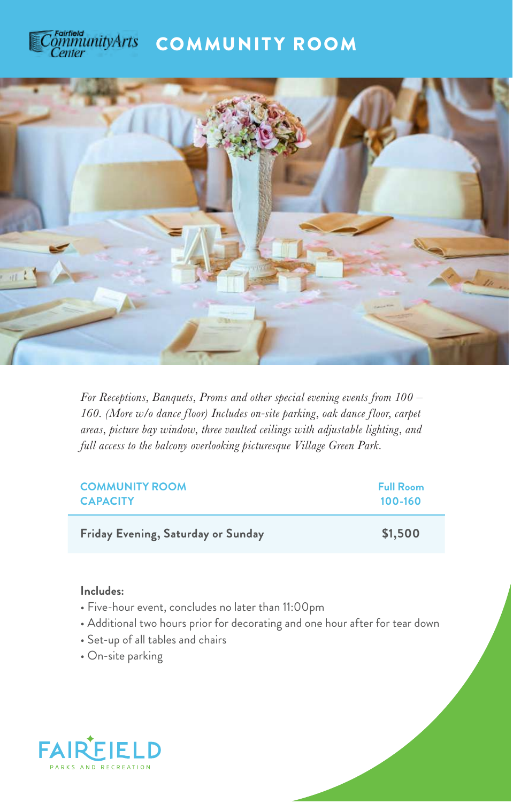



*For Receptions, Banquets, Proms and other special evening events from 100 – 160. (More w/o dance floor) Includes on-site parking, oak dance floor, carpet areas, picture bay window, three vaulted ceilings with adjustable lighting, and full access to the balcony overlooking picturesque Village Green Park.*

| <b>COMMUNITY ROOM</b>              | <b>Full Room</b> |
|------------------------------------|------------------|
| <b>CAPACITY</b>                    | $100 - 160$      |
| Friday Evening, Saturday or Sunday | \$1,500          |

- Five-hour event, concludes no later than 11:00pm
- Additional two hours prior for decorating and one hour after for tear down
- Set-up of all tables and chairs
- On-site parking

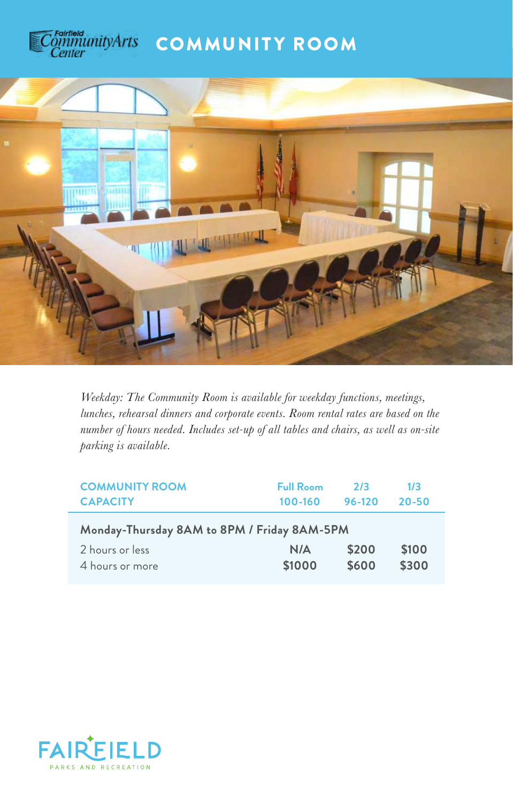



*Weekday: The Community Room is available for weekday functions, meetings, lunches, rehearsal dinners and corporate events. Room rental rates are based on the number of hours needed. Includes set-up of all tables and chairs, as well as on-site parking is available.* 

| <b>COMMUNITY ROOM</b>                                                             | <b>Full Room</b> | 2/3            | 1/3            |
|-----------------------------------------------------------------------------------|------------------|----------------|----------------|
| <b>CAPACITY</b>                                                                   | 100-160          | 96-120         | $20 - 50$      |
| Monday-Thursday 8AM to 8PM / Friday 8AM-5PM<br>2 hours or less<br>4 hours or more | N/A<br>\$1000    | \$200<br>\$600 | \$100<br>\$300 |

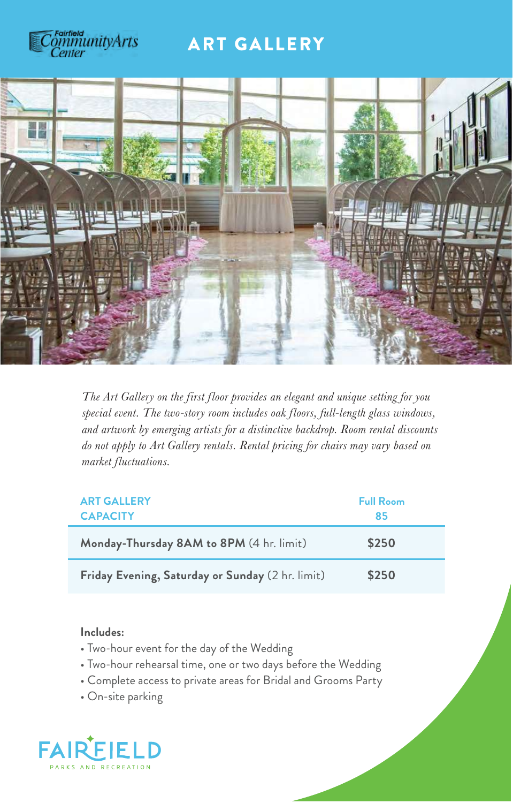

## ART GALLERY



*The Art Gallery on the first floor provides an elegant and unique setting for you special event. The two-story room includes oak floors, full-length glass windows, and artwork by emerging artists for a distinctive backdrop. Room rental discounts do not apply to Art Gallery rentals. Rental pricing for chairs may vary based on market fluctuations.* 

| <b>ART GALLERY</b><br><b>CAPACITY</b>            | <b>Full Room</b><br>85 |
|--------------------------------------------------|------------------------|
| Monday-Thursday 8AM to 8PM (4 hr. limit)         | \$250                  |
| Friday Evening, Saturday or Sunday (2 hr. limit) | \$250                  |

- Two-hour event for the day of the Wedding
- Two-hour rehearsal time, one or two days before the Wedding
- Complete access to private areas for Bridal and Grooms Party
- On-site parking

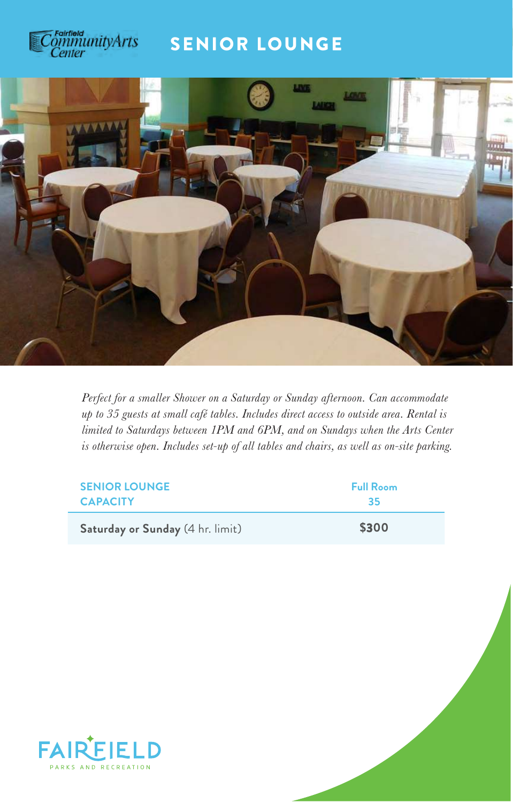

## SENIOR LOUNGE



*Perfect for a smaller Shower on a Saturday or Sunday afternoon. Can accommodate up to 35 guests at small café tables. Includes direct access to outside area. Rental is limited to Saturdays between 1PM and 6PM, and on Sundays when the Arts Center is otherwise open. Includes set-up of all tables and chairs, as well as on-site parking.* 

| <b>SENIOR LOUNGE</b>             | <b>Full Room</b> |
|----------------------------------|------------------|
| <b>CAPACITY</b>                  | 35               |
| Saturday or Sunday (4 hr. limit) | \$300            |

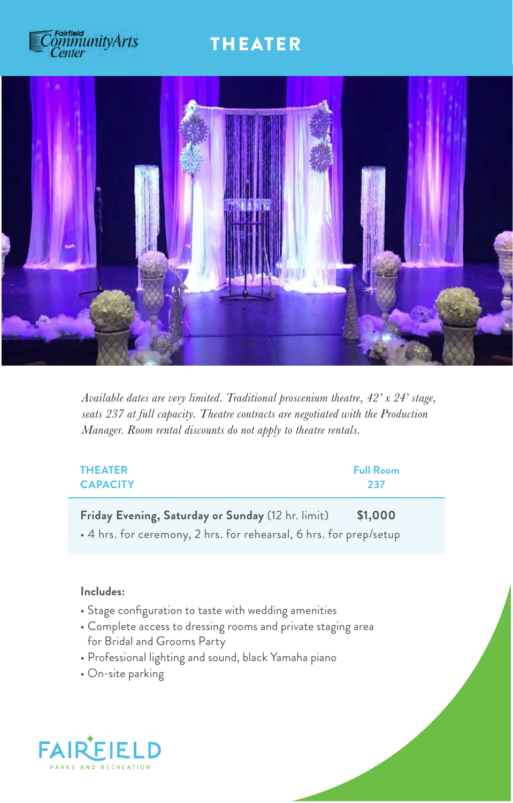## rainieid<br>ภูมิทันเทนี่tyArts Center

## THEATER



*Available dates are very limited. Traditional proscenium theatre, 42' x 24' stage, seats 237 at full capacity. Theatre contracts are negotiated with the Production Manager. Room rental discounts do not apply to theatre rentals.* 

| <b>THEATER</b>                                                                                                          | <b>Full Room</b> |
|-------------------------------------------------------------------------------------------------------------------------|------------------|
| <b>CAPACITY</b>                                                                                                         | 237              |
| Friday Evening, Saturday or Sunday (12 hr. limit)<br>• 4 hrs. for ceremony, 2 hrs. for rehearsal, 6 hrs. for prep/setup | \$1,000          |

- Stage configuration to taste with wedding amenities
- Complete access to dressing rooms and private staging area for Bridal and Grooms Party
- Professional lighting and sound, black Yamaha piano
- On-site parking

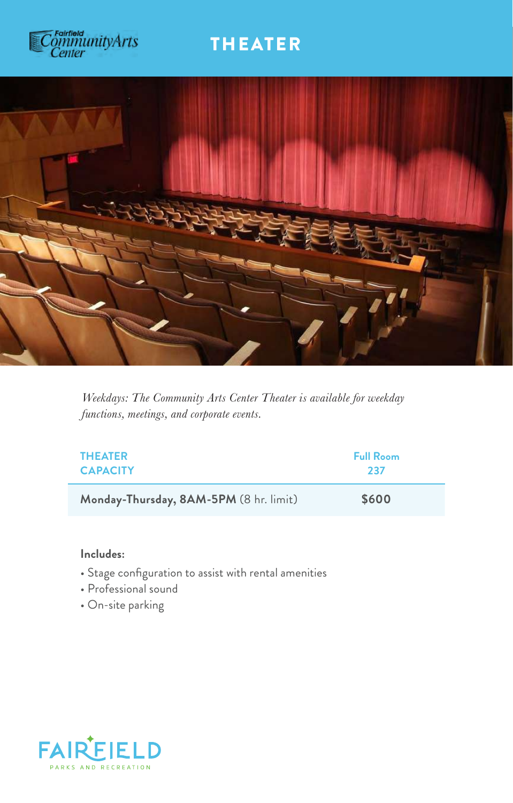# s rainiaid<br>ommunityArts<br>Center

# THEATER



*Weekdays: The Community Arts Center Theater is available for weekday functions, meetings, and corporate events.*

| <b>THEATER</b>                         | <b>Full Room</b> |
|----------------------------------------|------------------|
| <b>CAPACITY</b>                        | 237              |
| Monday-Thursday, 8AM-5PM (8 hr. limit) | \$600            |

- Stage configuration to assist with rental amenities
- Professional sound
- On-site parking

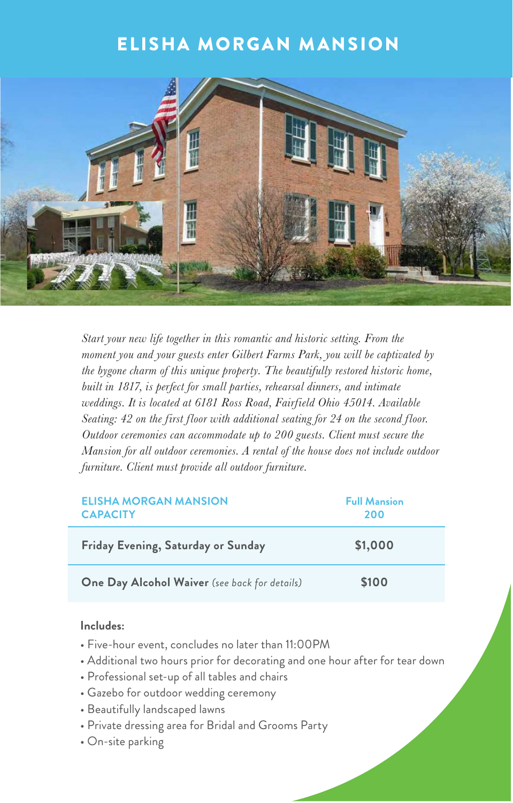# ELISHA MORGAN MANSION



*Start your new life together in this romantic and historic setting. From the moment you and your guests enter Gilbert Farms Park, you will be captivated by the bygone charm of this unique property. The beautifully restored historic home, built in 1817, is perfect for small parties, rehearsal dinners, and intimate weddings. It is located at 6181 Ross Road, Fairfield Ohio 45014. Available Seating: 42 on the first floor with additional seating for 24 on the second floor. Outdoor ceremonies can accommodate up to 200 guests. Client must secure the Mansion for all outdoor ceremonies. A rental of the house does not include outdoor furniture. Client must provide all outdoor furniture.* 

| <b>ELISHA MORGAN MANSION</b><br><b>CAPACITY</b> | <b>Full Mansion</b><br>200 |
|-------------------------------------------------|----------------------------|
| Friday Evening, Saturday or Sunday              | \$1,000                    |
| One Day Alcohol Waiver (see back for details)   | \$100                      |

- Five-hour event, concludes no later than 11:00PM
- Additional two hours prior for decorating and one hour after for tear down
- Professional set-up of all tables and chairs
- Gazebo for outdoor wedding ceremony
- Beautifully landscaped lawns
- Private dressing area for Bridal and Grooms Party
- On-site parking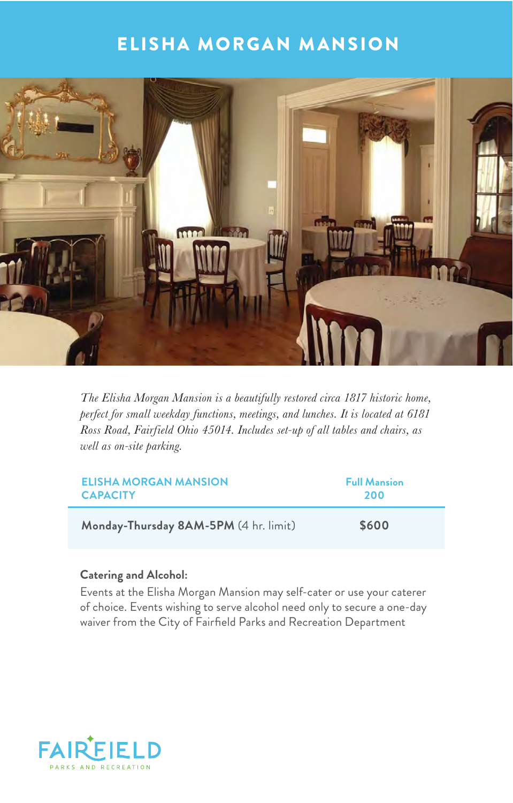## ELISHA MORGAN MANSION



*The Elisha Morgan Mansion is a beautifully restored circa 1817 historic home, perfect for small weekday functions, meetings, and lunches. It is located at 6181 Ross Road, Fairfield Ohio 45014. Includes set-up of all tables and chairs, as well as on-site parking.* 

| <b>ELISHA MORGAN MANSION</b>          | <b>Full Mansion</b> |
|---------------------------------------|---------------------|
| <b>CAPACITY</b>                       | 200                 |
| Monday-Thursday 8AM-5PM (4 hr. limit) | \$600               |

### **Catering and Alcohol:**

Events at the Elisha Morgan Mansion may self-cater or use your caterer of choice. Events wishing to serve alcohol need only to secure a one-day waiver from the City of Fairfield Parks and Recreation Department

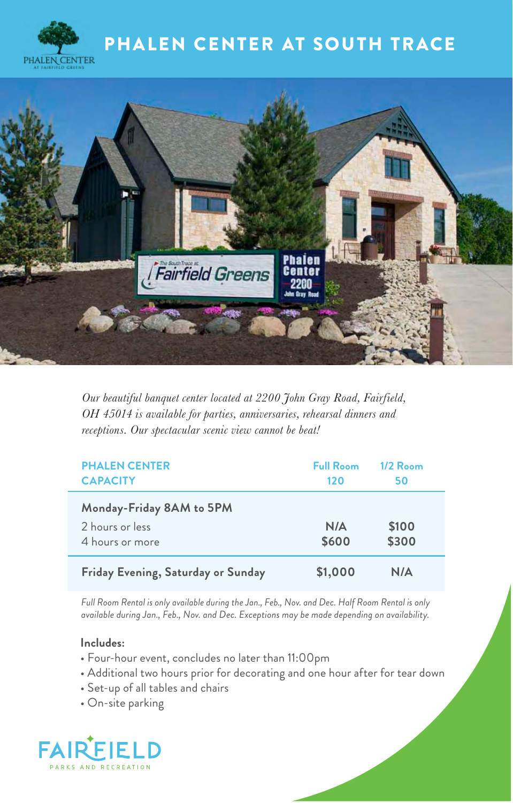





*Our beautiful banquet center located at 2200 John Gray Road, Fairfield, OH 45014 is available for parties, anniversaries, rehearsal dinners and receptions. Our spectacular scenic view cannot be beat!*

| <b>PHALEN CENTER</b><br><b>CAPACITY</b>                        | <b>Full Room</b><br>120 | $1/2$ Room<br>50 |  |
|----------------------------------------------------------------|-------------------------|------------------|--|
| Monday-Friday 8AM to 5PM<br>2 hours or less<br>4 hours or more | N/A<br>\$600            | \$100<br>\$300   |  |
| Friday Evening, Saturday or Sunday                             | \$1,000                 | N/A              |  |

*Full Room Rental is only available during the Jan., Feb., Nov. and Dec. Half Room Rental is only available during Jan., Feb., Nov. and Dec. Exceptions may be made depending on availability.*

- Four-hour event, concludes no later than 11:00pm
- Additional two hours prior for decorating and one hour after for tear down
- Set-up of all tables and chairs
- On-site parking

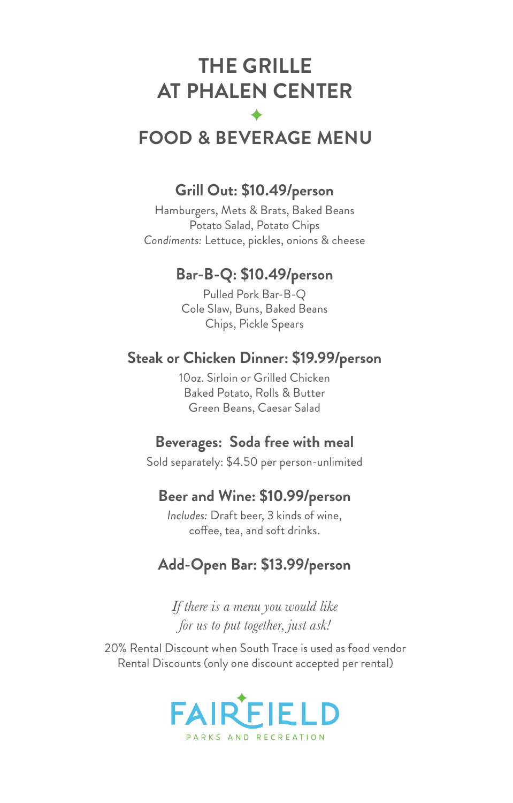# **THE GRILLE AT PHALEN CENTER**

# **FOOD & BEVERAGE MENU**

## **Grill Out: \$10.49/person**

Hamburgers, Mets & Brats, Baked Beans Potato Salad, Potato Chips *Condiments:* Lettuce, pickles, onions & cheese

## **Bar-B-Q: \$10.49/person**

Pulled Pork Bar-B-Q Cole Slaw, Buns, Baked Beans Chips, Pickle Spears

## **Steak or Chicken Dinner: \$19.99/person**

10oz. Sirloin or Grilled Chicken Baked Potato, Rolls & Butter Green Beans, Caesar Salad

## **Beverages: Soda free with meal**

Sold separately: \$4.50 per person-unlimited

## **Beer and Wine: \$10.99/person**

*Includes:* Draft beer, 3 kinds of wine, coffee, tea, and soft drinks.

## **Add-Open Bar: \$13.99/person**

*If there is a menu you would like for us to put together, just ask!*

20% Rental Discount when South Trace is used as food vendor Rental Discounts (only one discount accepted per rental)

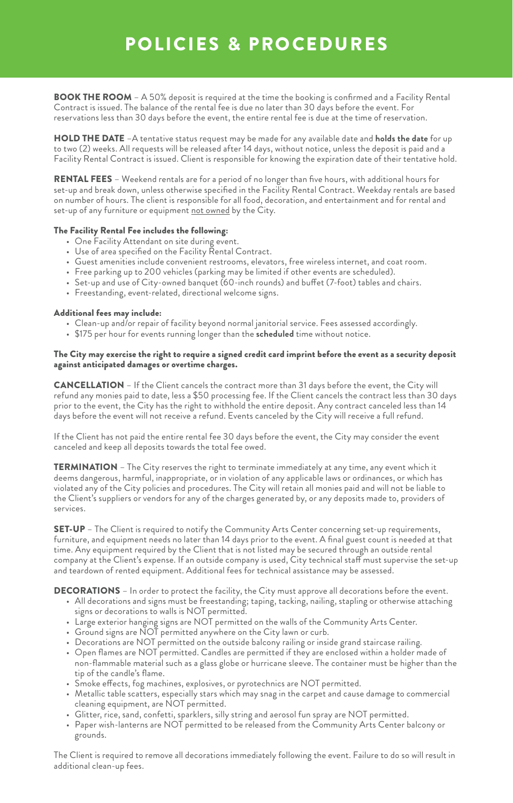# POLICIES & PROCEDURES

BOOK THE ROOM - A 50% deposit is required at the time the booking is confirmed and a Facility Rental Contract is issued. The balance of the rental fee is due no later than 30 days before the event. For reservations less than 30 days before the event, the entire rental fee is due at the time of reservation.

HOLD THE DATE –A tentative status request may be made for any available date and **holds the date** for up to two (2) weeks. All requests will be released after 14 days, without notice, unless the deposit is paid and a Facility Rental Contract is issued. Client is responsible for knowing the expiration date of their tentative hold.

RENTAL FEES – Weekend rentals are for a period of no longer than five hours, with additional hours for set-up and break down, unless otherwise specified in the Facility Rental Contract. Weekday rentals are based on number of hours. The client is responsible for all food, decoration, and entertainment and for rental and set-up of any furniture or equipment not owned by the City.

#### The Facility Rental Fee includes the following:

- One Facility Attendant on site during event.
- Use of area specified on the Facility Rental Contract.
- Guest amenities include convenient restrooms, elevators, free wireless internet, and coat room.
- Free parking up to 200 vehicles (parking may be limited if other events are scheduled).
- Set-up and use of City-owned banquet (60-inch rounds) and buffet (7-foot) tables and chairs.
- Freestanding, event-related, directional welcome signs.

#### Additional fees may include:

- Clean-up and/or repair of facility beyond normal janitorial service. Fees assessed accordingly.
- \$175 per hour for events running longer than the **scheduled** time without notice.

#### The City may exercise the right to require a signed credit card imprint before the event as a security deposit against anticipated damages or overtime charges.

CANCELLATION – If the Client cancels the contract more than 31 days before the event, the City will refund any monies paid to date, less a \$50 processing fee. If the Client cancels the contract less than 30 days prior to the event, the City has the right to withhold the entire deposit. Any contract canceled less than 14 days before the event will not receive a refund. Events canceled by the City will receive a full refund.

If the Client has not paid the entire rental fee 30 days before the event, the City may consider the event canceled and keep all deposits towards the total fee owed.

TERMINATION – The City reserves the right to terminate immediately at any time, any event which it deems dangerous, harmful, inappropriate, or in violation of any applicable laws or ordinances, or which has violated any of the City policies and procedures. The City will retain all monies paid and will not be liable to the Client's suppliers or vendors for any of the charges generated by, or any deposits made to, providers of services.

SET-UP – The Client is required to notify the Community Arts Center concerning set-up requirements, furniture, and equipment needs no later than 14 days prior to the event. A final guest count is needed at that time. Any equipment required by the Client that is not listed may be secured through an outside rental company at the Client's expense. If an outside company is used, City technical staff must supervise the set-up and teardown of rented equipment. Additional fees for technical assistance may be assessed.

DECORATIONS – In order to protect the facility, the City must approve all decorations before the event.

- All decorations and signs must be freestanding; taping, tacking, nailing, stapling or otherwise attaching signs or decorations to walls is NOT permitted.
- Large exterior hanging signs are NOT permitted on the walls of the Community Arts Center.
- Ground signs are NOT permitted anywhere on the City lawn or curb.
- Decorations are NOT permitted on the outside balcony railing or inside grand staircase railing.
- Open flames are NOT permitted. Candles are permitted if they are enclosed within a holder made of non-flammable material such as a glass globe or hurricane sleeve. The container must be higher than the tip of the candle's flame.
- Smoke effects, fog machines, explosives, or pyrotechnics are NOT permitted.
- Metallic table scatters, especially stars which may snag in the carpet and cause damage to commercial cleaning equipment, are NOT permitted.
- Glitter, rice, sand, confetti, sparklers, silly string and aerosol fun spray are NOT permitted.
- Paper wish-lanterns are NOT permitted to be released from the Community Arts Center balcony or grounds.

The Client is required to remove all decorations immediately following the event. Failure to do so will result in additional clean-up fees.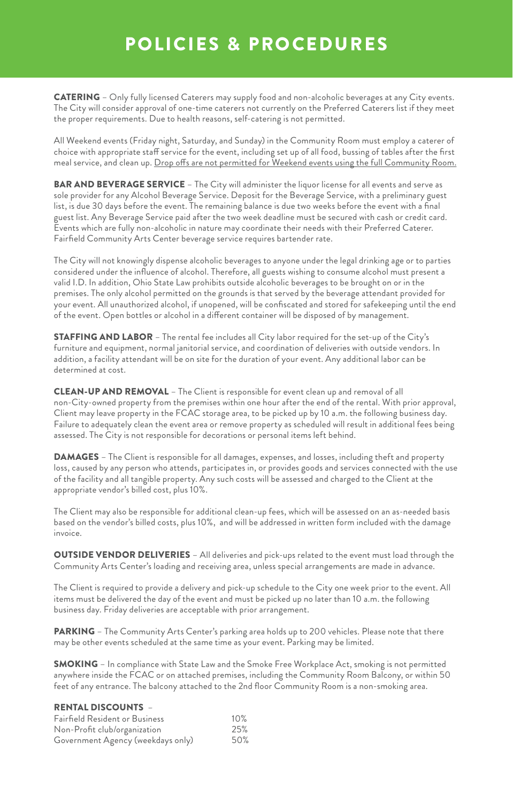# POLICIES & PROCEDURES

CATERING – Only fully licensed Caterers may supply food and non-alcoholic beverages at any City events. The City will consider approval of one-time caterers not currently on the Preferred Caterers list if they meet the proper requirements. Due to health reasons, self-catering is not permitted.

All Weekend events (Friday night, Saturday, and Sunday) in the Community Room must employ a caterer of choice with appropriate staff service for the event, including set up of all food, bussing of tables after the first meal service, and clean up. Drop offs are not permitted for Weekend events using the full Community Room.

BAR AND BEVERAGE SERVICE - The City will administer the liquor license for all events and serve as sole provider for any Alcohol Beverage Service. Deposit for the Beverage Service, with a preliminary guest list, is due 30 days before the event. The remaining balance is due two weeks before the event with a final guest list. Any Beverage Service paid after the two week deadline must be secured with cash or credit card. Events which are fully non-alcoholic in nature may coordinate their needs with their Preferred Caterer. Fairfield Community Arts Center beverage service requires bartender rate.

The City will not knowingly dispense alcoholic beverages to anyone under the legal drinking age or to parties considered under the influence of alcohol. Therefore, all guests wishing to consume alcohol must present a valid I.D. In addition, Ohio State Law prohibits outside alcoholic beverages to be brought on or in the premises. The only alcohol permitted on the grounds is that served by the beverage attendant provided for your event. All unauthorized alcohol, if unopened, will be confiscated and stored for safekeeping until the end of the event. Open bottles or alcohol in a different container will be disposed of by management.

STAFFING AND LABOR – The rental fee includes all City labor required for the set-up of the City's furniture and equipment, normal janitorial service, and coordination of deliveries with outside vendors. In addition, a facility attendant will be on site for the duration of your event. Any additional labor can be determined at cost.

CLEAN-UP AND REMOVAL – The Client is responsible for event clean up and removal of all non-City-owned property from the premises within one hour after the end of the rental. With prior approval, Client may leave property in the FCAC storage area, to be picked up by 10 a.m. the following business day. Failure to adequately clean the event area or remove property as scheduled will result in additional fees being assessed. The City is not responsible for decorations or personal items left behind.

DAMAGES – The Client is responsible for all damages, expenses, and losses, including theft and property loss, caused by any person who attends, participates in, or provides goods and services connected with the use of the facility and all tangible property. Any such costs will be assessed and charged to the Client at the appropriate vendor's billed cost, plus 10%.

The Client may also be responsible for additional clean-up fees, which will be assessed on an as-needed basis based on the vendor's billed costs, plus 10%, and will be addressed in written form included with the damage invoice.

OUTSIDE VENDOR DELIVERIES – All deliveries and pick-ups related to the event must load through the Community Arts Center's loading and receiving area, unless special arrangements are made in advance.

The Client is required to provide a delivery and pick-up schedule to the City one week prior to the event. All items must be delivered the day of the event and must be picked up no later than 10 a.m. the following business day. Friday deliveries are acceptable with prior arrangement.

PARKING – The Community Arts Center's parking area holds up to 200 vehicles. Please note that there may be other events scheduled at the same time as your event. Parking may be limited.

SMOKING – In compliance with State Law and the Smoke Free Workplace Act, smoking is not permitted anywhere inside the FCAC or on attached premises, including the Community Room Balcony, or within 50 feet of any entrance. The balcony attached to the 2nd floor Community Room is a non-smoking area.

#### RENTAL DISCOUNTS –

| <b>Fairfield Resident or Business</b> | 10% |
|---------------------------------------|-----|
| Non-Profit club/organization          | 25% |
| Government Agency (weekdays only)     | 50% |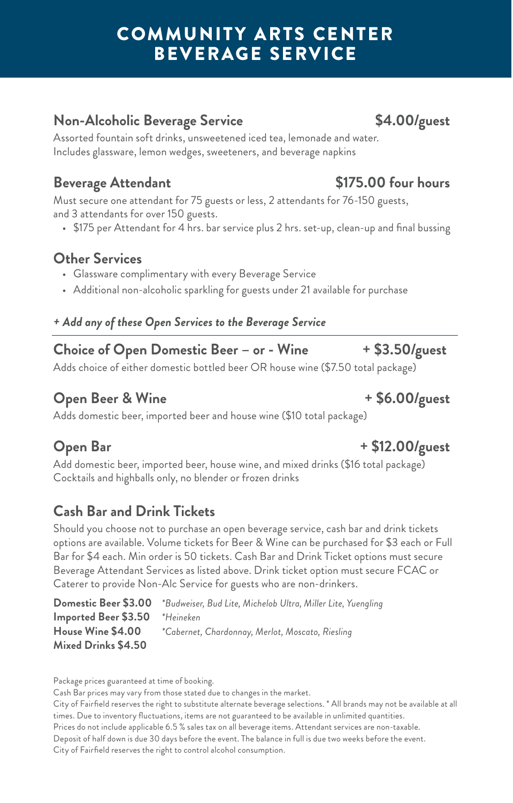# COMMUNITY ARTS CENTER BEVERAGE SERVICE

## **Non-Alcoholic Beverage Service \$4.00/guest**

Assorted fountain soft drinks, unsweetened iced tea, lemonade and water. Includes glassware, lemon wedges, sweeteners, and beverage napkins

## **Beverage Attendant \$175.00 four hours**

Must secure one attendant for 75 guests or less, 2 attendants for 76-150 guests, and 3 attendants for over 150 guests.

• \$175 per Attendant for 4 hrs. bar service plus 2 hrs. set-up, clean-up and final bussing

## **Other Services**

- Glassware complimentary with every Beverage Service
- Additional non-alcoholic sparkling for guests under 21 available for purchase

## *+ Add any of these Open Services to the Beverage Service*

## **Choice of Open Domestic Beer – or - Wine + \$3.50/guest**

Adds choice of either domestic bottled beer OR house wine (\$7.50 total package)

## **Open Beer & Wine**  $+$  **\$6.00/guest**

Adds domestic beer, imported beer and house wine (\$10 total package)

## **Open Bar + \$12.00/guest**

Add domestic beer, imported beer, house wine, and mixed drinks (\$16 total package) Cocktails and highballs only, no blender or frozen drinks

## **Cash Bar and Drink Tickets**

Should you choose not to purchase an open beverage service, cash bar and drink tickets options are available. Volume tickets for Beer & Wine can be purchased for \$3 each or Full Bar for \$4 each. Min order is 50 tickets. Cash Bar and Drink Ticket options must secure Beverage Attendant Services as listed above. Drink ticket option must secure FCAC or Caterer to provide Non-Alc Service for guests who are non-drinkers.

**Domestic Beer \$3.00** *\*Budweiser, Bud Lite, Michelob Ultra, Miller Lite, Yuengling* **Imported Beer \$3.50** *\*Heineken* **House Wine \$4.00** *\*Cabernet, Chardonnay, Merlot, Moscato, Riesling* **Mixed Drinks \$4.50** 

Package prices guaranteed at time of booking.

Cash Bar prices may vary from those stated due to changes in the market.

City of Fairfield reserves the right to substitute alternate beverage selections. \* All brands may not be available at all times. Due to inventory fluctuations, items are not guaranteed to be available in unlimited quantities.

Prices do not include applicable 6.5 % sales tax on all beverage items. Attendant services are non-taxable.

Deposit of half down is due 30 days before the event. The balance in full is due two weeks before the event.

City of Fairfield reserves the right to control alcohol consumption.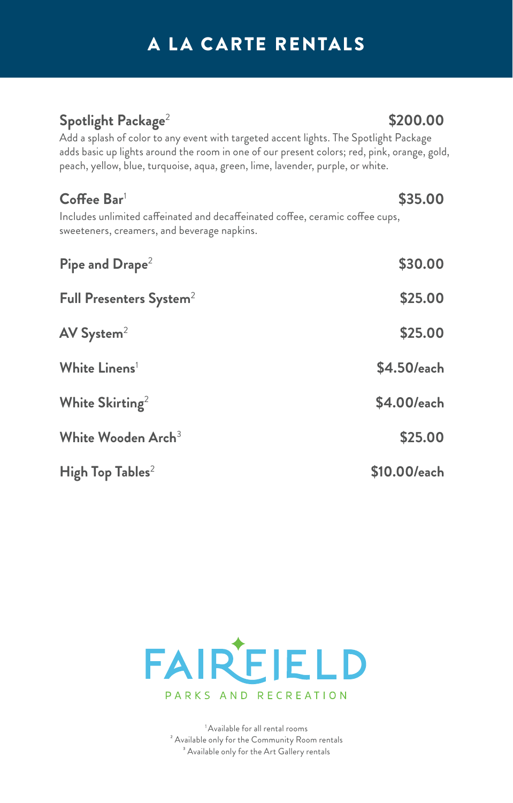# A LA CARTE RENTALS

# **Spotlight Package**<sup>2</sup>

Add a splash of color to any event with targeted accent lights. The Spotlight Package adds basic up lights around the room in one of our present colors; red, pink, orange, gold, peach, yellow, blue, turquoise, aqua, green, lime, lavender, purple, or white.

| $C$ offee Bar <sup>1</sup>                                                                                                   | \$35.00      |
|------------------------------------------------------------------------------------------------------------------------------|--------------|
| Includes unlimited caffeinated and decaffeinated coffee, ceramic coffee cups,<br>sweeteners, creamers, and beverage napkins. |              |
| Pipe and $\mathsf{Drape}^2$                                                                                                  | \$30.00      |
| Full Presenters System <sup>2</sup>                                                                                          | \$25.00      |
| AV System <sup>2</sup>                                                                                                       | \$25.00      |
| White Linens <sup>1</sup>                                                                                                    | \$4.50/each  |
| White Skirting <sup>2</sup>                                                                                                  | \$4.00/each  |
| White Wooden Arch <sup>3</sup>                                                                                               | \$25.00      |
| High Top Tables <sup>2</sup>                                                                                                 | \$10.00/each |



1 Available for all rental rooms ² Available only for the Community Room rentals <sup>3</sup> Available only for the Art Gallery rentals

## **\$200.00**